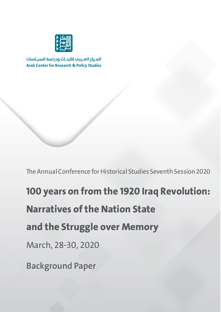

المركز العربي للأبحاث ودراسة السياسات **Arab Center for Research & Policy Studies** 

The Annual Conference for Historical Studies Seventh Session 2020

**100 years on from the 1920 Iraq Revolution: Narratives of the Nation State and the Struggle over Memory** March, 28-30, 2020 **Background Paper**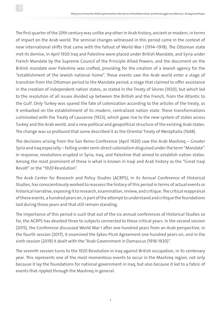The first quarter of the 20th century was unlike any other in Arab history, ancient or modern, in terms of impact on the Arab world. The seminal changes witnessed in this period came in the context of new international shifts that came with the fallout of World War I (1914–1918). The Ottoman state met its demise, in April 1920 Iraq and Palestine were placed under British Mandate, and Syria under French Mandate by the Supreme Council of the Principle Allied Powers, and the document on the British mandate over Palestine was crafted, providing for the creation of a Jewish agency for the "establishment of the Jewish national home". These events saw the Arab world enter a stage of transition from the Ottoman period to the Mandate period, a stage that claimed to offer assistance in the creation of independent nation states, as stated in the Treaty of Sèvres (1920), but which led to the resolution of all issues divided up between the British and the French, from the Atlantic to the Gulf. Only Turkey was spared the fate of colonization according to the articles of the treaty, as it embarked on the establishment of its modern, centralized nation state. These transformations culminated with the Treaty of Lausanne (1923), which gave rise to the new system of states across Turkey and the Arab world, and a new political and geopolitical structure of the existing Arab states. The change was so profound that some described it as the Oriental Treaty of Westphalia (1648).

The decisions arising from the San Remo Conference (April 1920) saw the Arab Mashreq – Greater Syria and Iraq especially – falling under semi-direct colonialism disguised under the term "Mandate". In response, revolutions erupted in Syria, Iraq, and Palestine that aimed to establish nation states. Among the most prominent of these is what is known in Iraqi and Arab history as the "Great Iraqi Revolt" or the "1920 Revolution".

The Arab Center for Research and Policy Studies (ACRPS), in its Annual Conference of Historical Studies, has conscientiously worked to reassess the history of this period in terms of actual events or historical narrative, exposing it to research, examination, review, and critique. The critical reappraisal of these events, a hundred years on, is part of the attempt to understand and critique the foundations laid during those years and that still remain standing.

The importance of this period is such that out of the six annual conferences of Historical Studies so far, the ACRPS has devoted three to subjects connected to these critical years. In the second session (2015), the Conference discussed World War I after one hundred years from an Arab perspective; in the fourth session (2017), it examined the Sykes-Picot Agreement one hundred years on; and in the sixth session (2019) it dealt with the "Arab Government in Damascus (1918-1920)".

The seventh session turns to the 1920 Revolution in Iraq against British occupation, in its centenary year. This represents one of the most momentous events to occur in the Mashreq region, not only because it lay the foundations for national government in Iraq, but also because it led to a fabric of events that rippled through the Mashreq in general.

1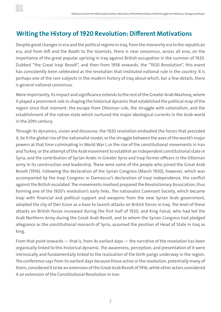## **Writing the History of 1920 Revolution: Different Motivations**

Despite great changes in era and the political regime in Iraq, from the monarchy era to the republican era, and from left and the Baath to the Islamists, there is near consensus, across all eras, on the importance of the great popular uprising in Iraq against British occupation in the summer of 1920. Dubbed "the Great Iraqi Revolt", and then from 1958 onwards, the "1920 Revolution", this event has consistently been celebrated as the revolution that instituted national rule in the country. It is perhaps one of the rare subjects in the modern history of Iraq about which, bar a few details, there is general national consensus.

More importantly, its impact and significance extends to the rest of the Greater Arab Mashreq, where it played a prominent role in shaping the historical dynamic that established the political map of the region since that moment: the escape from Ottoman rule, the struggle with colonialism, and the establishment of the nation state which nurtured the major ideological currents in the Arab world in the 20th century.

Through its dynamics, vision and discourse, the 1920 revolution embodied the forces that preceded it, be it the global rise of the nationalist model, or the struggle between the axes of the world's major powers at that time culminating in World War I, or the rise of the constitutional movements in Iran and Turkey, or the attempt of the Arab movement to establish an independent constitutional state in Syria, and the contribution of Syrian Arabs in Greater Syria and Iraqi former officers in the Ottoman army in its construction and leadership. These were some of the people who joined the Great Arab Revolt (1916). Following the declaration of the Syrian Congress (March 1920), however, which was accompanied by the Iraqi Congress in Damascus's declaration of Iraqi independence, the conflict against the British escalated. The movements involved prepared the Revolutionary Association, thus forming one of the 1920's revolution's early links. The nationalist Covenant Society, which became Iraqi with financial and political support and weapons from the new Syrian Arab government, adopted the city of Deir Ezzor as a base to launch attacks on British forces in Iraq. The level of these attacks on British forces increased during the first half of 1920, and King Faisal, who had led the Arab Northern Army during the Great Arab Revolt, and to whom the Syrian Congress had pledged allegiance as the constitutional monarch of Syria, assumed the position of Head of State in Iraq as king.

From that point onwards  $-$  that is, from its earliest days  $-$  the narrative of the revolution has been organically linked to this historical dynamic. The awareness, perception, and presentation of it were intrinsically and fundamentally linked to the realization of the birth pangs underway in the region. The conference says from its earliest days because those active in the revolution, potentially many of them, considered it to be an extension of the Great Arab Revolt of 1916, while other actors considered it an extension of the Constitutional Revolution in Iran.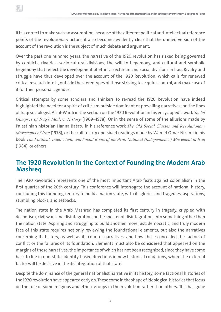If it is correct to make such an assumption, because of the different political and intellectual reference points of the revolutionary actors, it also becomes evidently clear that the unified version of the account of the revolution is the subject of much debate and argument.

Over the past one hundred years, the narrative of the 1920 revolution has risked being governed by conflicts, rivalries, socio-cultural divisions, the will to hegemony, and cultural and symbolic hegemony that reflect the development of ethnic, sectarian and social divisions in Iraq. Rivalry and struggle have thus developed over the account of the 1920 Revolution, which calls for renewed critical research into it, outside the stereotypes of those striving to acquire, control, and make use of it for their personal agendas.

Critical attempts by some scholars and thinkers to re-read the 1920 Revolution have indeed highlighted the need for a spirit of criticism outside dominant or prevailing narratives, on the lines of Iraqi sociologist Ali al-Wardi in the section on the 1920 Revolution in his encyclopedic work *Social Glimpses of Iraq's Modern History* (1969–1978). Or in the sense of some of the allusions made by Palestinian historian Hanna Batatu in his reference work *The Old Social Classes and Revolutionary Movements of Iraq* (1978), or the call to skip one-sided readings made by Wamid Omar Nizami in his book *The Political, Intellectual, and Social Roots of the Arab National (Independence) Movement in Iraq* (1984), or others.

## **The 1920 Revolution in the Context of Founding the Modern Arab Mashreq**

The 1920 Revolution represents one of the most important Arab feats against colonialism in the first quarter of the 20th century. This conference will interrogate the account of national history, concluding this founding century to build a nation state, with its glories and tragedies, aspirations, stumbling blocks, and setbacks.

The nation state in the Arab Mashreq has completed its first century in tragedy, crippled with despotism, civil wars and disintegration, or the specter of disintegration, into something other than the nation state. Aspiring and struggling to build another, more just, democratic, and truly modern face of this state requires not only reviewing the foundational elements, but also the narratives concerning its history, as well as its counter-narratives, and how these concealed the factors of conflict or the failures of its foundation. Elements must also be considered that appeared on the margins of these narratives, the importance of which has not been recognized, since they have come back to life in non-state, identity-based directions in new historical conditions, where the external factor will be decisive in the disintegration of that state.

Despite the dominance of the general nationalist narrative in its history, some factional histories of the 1920 revolution have appeared early on. These come in the shape of ideological histories that focus on the role of some religious and ethnic groups in the revolution rather than others. This has gone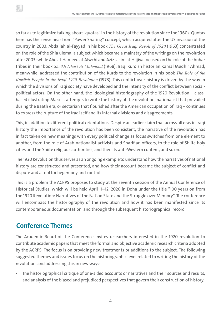so far as to legitimize talking about "quotas" in the history of the revolution since the 1960s. Quotas here has the sense near from "Power Sharing" concept, which acquired after the US invasion of the country in 2003. Abdallah al-Fayyad in his book *The Great Iraqi Revolt of 1920* (1963) concentrated on the role of the Shia ulema, a subject which became a mainstay of the writings on the revolution after 2003; while Abd al-Hameed al-Alwchi and Aziz Jasim al-Hijjiya focused on the role of the Anbar tribes in their book *Sheikh Dhari Al Mahmood* (1968). Iraqi Kurdish historian Kamal Mudhir Ahmad, meanwhile, addressed the contribution of the Kurds to the revolution in his book *The Role of the Kurdish People in the Iraqi 1920 Revolution* (1978). This conflict over history is driven by the way in which the divisions of Iraqi society have developed and the intensity of the conflict between socialpolitical actors. On the other hand, the ideological historiography of the 1920 Revolution – classbased illustrating Marxist attempts to write the history of the revolution, nationalist that prevailed during the Baath era, or sectarian that flourished after the American occupation of Iraq – continues to express the rupture of the Iraqi self and its internal divisions and disagreements.

This, in addition to different political orientations. Despite an earlier claim that across all eras in Iraqi history the importance of the revolution has been consistent, the narrative of the revolution has in fact taken on new meanings with every political change as focus switches from one element to another, from the role of Arab-nationalist activists and Sharifian officers, to the role of Shiite holy cities and the Shiite religious authorities, and then its anti-Western content, and so on.

The 1920 Revolution thus serves as an ongoing example to understand how the narratives of national history are constructed and presented, and how their account became the subject of conflict and dispute and a tool for hegemony and control.

This is a problem the ACRPS proposes to study at the seventh session of the Annual Conference of Historical Studies, which will be held April 11–12, 2020 in Doha under the title "100 years on from the 1920 Revolution: Narratives of the Nation State and the Struggle over Memory". The conference will encompass the historiography of the revolution and how it has been manifested since its contemporaneous documentation, and through the subsequent historiographical record.

## **Conference Themes**

The Academic Board of the Conference invites researchers interested in the 1920 revolution to contribute academic papers that meet the formal and objective academic research criteria adopted by the ACRPS. The focus is on providing new treatments or additions to the subject. The following suggested themes and issues focus on the historiographic level related to writing the history of the revolution, and addressing this in new ways:

• The historiographical critique of one-sided accounts or narratives and their sources and results, and analysis of the biased and prejudiced perspectives that govern their construction of history.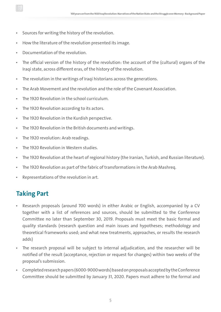- Sources for writing the history of the revolution.
- How the literature of the revolution presented its image.
- Documentation of the revolution.
- The official version of the history of the revolution: the account of the (cultural) organs of the Iraqi state, across different eras, of the history of the revolution.
- The revolution in the writings of Iraqi historians across the generations.
- The Arab Movement and the revolution and the role of the Covenant Association.
- The 1920 Revolution in the school curriculum.
- The 1920 Revolution according to its actors.
- The 1920 Revolution in the Kurdish perspective.
- The 1920 Revolution in the British documents and writings.
- The 1920 revolution: Arab readings.
- The 1920 Revolution in Western studies.
- The 1920 Revolution at the heart of regional history (the Iranian, Turkish, and Russian literature).
- The 1920 Revolution as part of the fabric of transformations in the Arab Mashreq.
- Representations of the revolution in art.

## **Taking Part**

- Research proposals (around 700 words) in either Arabic or English, accompanied by a CV together with a list of references and sources, should be submitted to the Conference Committee no later than September 30, 2019. Proposals must meet the basic formal and quality standards (research question and main issues and hypotheses; methodology and theoretical frameworks used; and what new treatments, approaches, or results the research adds)
- The research proposal will be subject to internal adjudication, and the researcher will be notified of the result (acceptance, rejection or request for changes) within two weeks of the proposal's submission.
- Completed research papers (6000-9000 words) based on proposals accepted by the Conference Committee should be submitted by January 31, 2020. Papers must adhere to the formal and